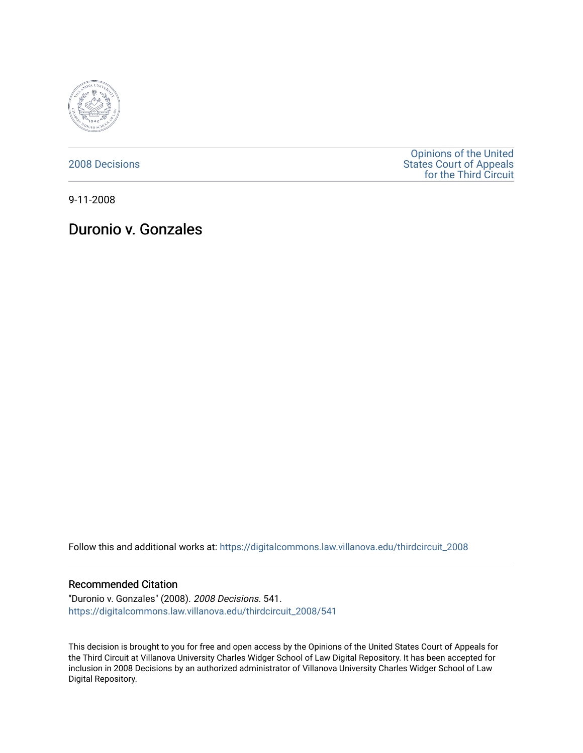

[2008 Decisions](https://digitalcommons.law.villanova.edu/thirdcircuit_2008)

[Opinions of the United](https://digitalcommons.law.villanova.edu/thirdcircuit)  [States Court of Appeals](https://digitalcommons.law.villanova.edu/thirdcircuit)  [for the Third Circuit](https://digitalcommons.law.villanova.edu/thirdcircuit) 

9-11-2008

# Duronio v. Gonzales

Follow this and additional works at: [https://digitalcommons.law.villanova.edu/thirdcircuit\\_2008](https://digitalcommons.law.villanova.edu/thirdcircuit_2008?utm_source=digitalcommons.law.villanova.edu%2Fthirdcircuit_2008%2F541&utm_medium=PDF&utm_campaign=PDFCoverPages) 

#### Recommended Citation

"Duronio v. Gonzales" (2008). 2008 Decisions. 541. [https://digitalcommons.law.villanova.edu/thirdcircuit\\_2008/541](https://digitalcommons.law.villanova.edu/thirdcircuit_2008/541?utm_source=digitalcommons.law.villanova.edu%2Fthirdcircuit_2008%2F541&utm_medium=PDF&utm_campaign=PDFCoverPages)

This decision is brought to you for free and open access by the Opinions of the United States Court of Appeals for the Third Circuit at Villanova University Charles Widger School of Law Digital Repository. It has been accepted for inclusion in 2008 Decisions by an authorized administrator of Villanova University Charles Widger School of Law Digital Repository.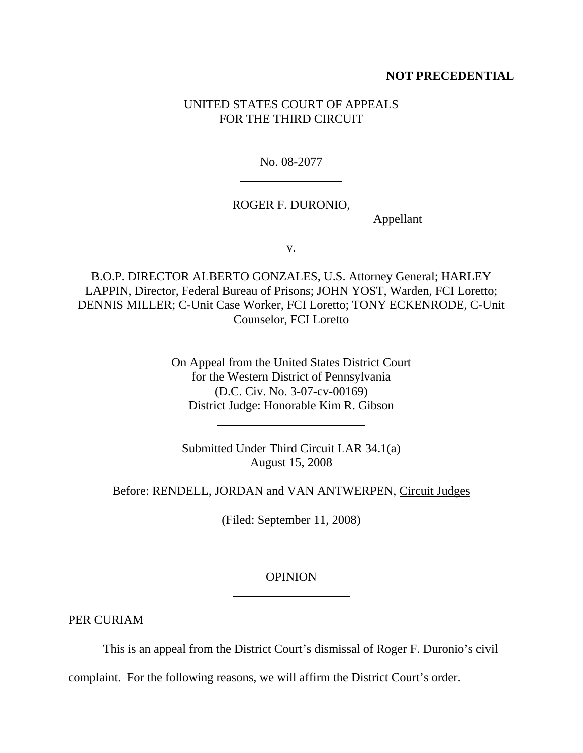## **NOT PRECEDENTIAL**

# UNITED STATES COURT OF APPEALS FOR THE THIRD CIRCUIT

 $\overline{a}$ 

 $\ddot{\phantom{a}}$ 

 $\overline{a}$ 

 $\overline{a}$ 

l

 $\overline{a}$ 

No. 08-2077

### ROGER F. DURONIO,

Appellant

v.

B.O.P. DIRECTOR ALBERTO GONZALES, U.S. Attorney General; HARLEY LAPPIN, Director, Federal Bureau of Prisons; JOHN YOST, Warden, FCI Loretto; DENNIS MILLER; C-Unit Case Worker, FCI Loretto; TONY ECKENRODE, C-Unit Counselor, FCI Loretto

> On Appeal from the United States District Court for the Western District of Pennsylvania (D.C. Civ. No. 3-07-cv-00169) District Judge: Honorable Kim R. Gibson

Submitted Under Third Circuit LAR 34.1(a) August 15, 2008

Before: RENDELL, JORDAN and VAN ANTWERPEN, Circuit Judges

(Filed: September 11, 2008)

### OPINION

PER CURIAM

This is an appeal from the District Court's dismissal of Roger F. Duronio's civil

complaint. For the following reasons, we will affirm the District Court's order.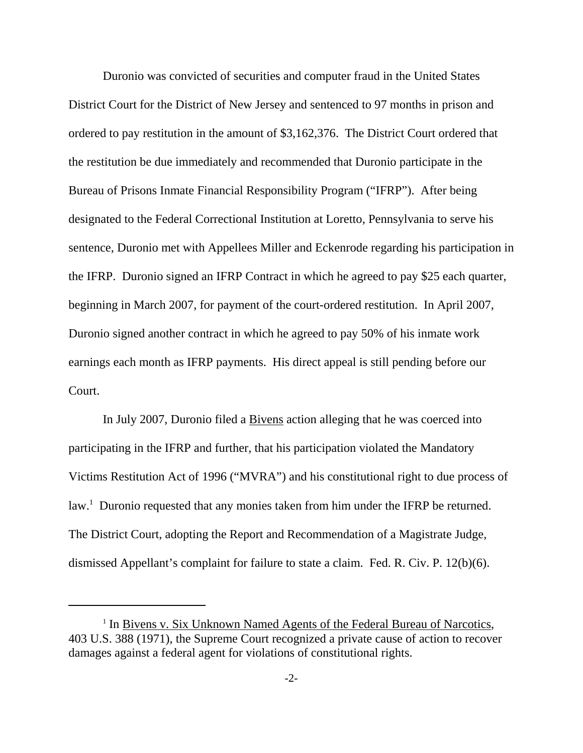Duronio was convicted of securities and computer fraud in the United States District Court for the District of New Jersey and sentenced to 97 months in prison and ordered to pay restitution in the amount of \$3,162,376. The District Court ordered that the restitution be due immediately and recommended that Duronio participate in the Bureau of Prisons Inmate Financial Responsibility Program ("IFRP"). After being designated to the Federal Correctional Institution at Loretto, Pennsylvania to serve his sentence, Duronio met with Appellees Miller and Eckenrode regarding his participation in the IFRP. Duronio signed an IFRP Contract in which he agreed to pay \$25 each quarter, beginning in March 2007, for payment of the court-ordered restitution. In April 2007, Duronio signed another contract in which he agreed to pay 50% of his inmate work earnings each month as IFRP payments. His direct appeal is still pending before our Court.

In July 2007, Duronio filed a Bivens action alleging that he was coerced into participating in the IFRP and further, that his participation violated the Mandatory Victims Restitution Act of 1996 ("MVRA") and his constitutional right to due process of law.<sup>1</sup> Duronio requested that any monies taken from him under the IFRP be returned. The District Court, adopting the Report and Recommendation of a Magistrate Judge, dismissed Appellant's complaint for failure to state a claim. Fed. R. Civ. P. 12(b)(6).

<sup>&</sup>lt;sup>1</sup> In Bivens v. Six Unknown Named Agents of the Federal Bureau of Narcotics, 403 U.S. 388 (1971), the Supreme Court recognized a private cause of action to recover damages against a federal agent for violations of constitutional rights.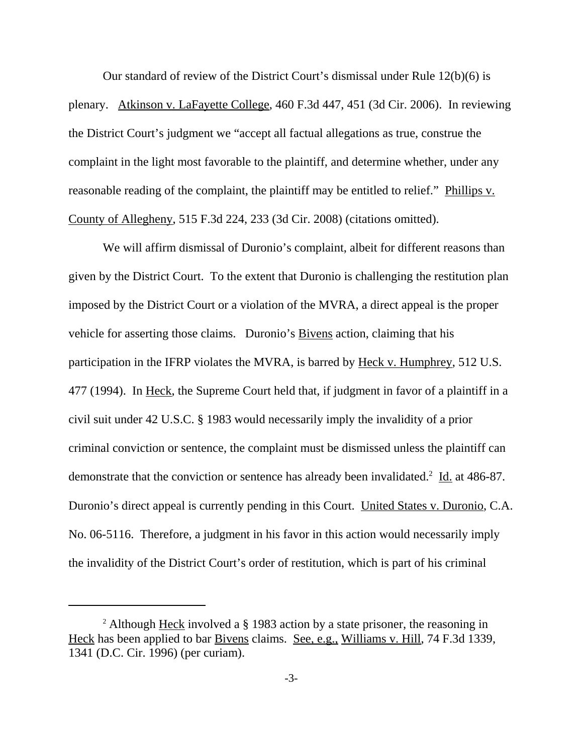Our standard of review of the District Court's dismissal under Rule 12(b)(6) is plenary. Atkinson v. LaFayette College, 460 F.3d 447, 451 (3d Cir. 2006). In reviewing the District Court's judgment we "accept all factual allegations as true, construe the complaint in the light most favorable to the plaintiff, and determine whether, under any reasonable reading of the complaint, the plaintiff may be entitled to relief." Phillips v. County of Allegheny, 515 F.3d 224, 233 (3d Cir. 2008) (citations omitted).

We will affirm dismissal of Duronio's complaint, albeit for different reasons than given by the District Court. To the extent that Duronio is challenging the restitution plan imposed by the District Court or a violation of the MVRA, a direct appeal is the proper vehicle for asserting those claims. Duronio's <u>Bivens</u> action, claiming that his participation in the IFRP violates the MVRA, is barred by Heck v. Humphrey, 512 U.S. 477 (1994). In Heck, the Supreme Court held that, if judgment in favor of a plaintiff in a civil suit under 42 U.S.C. § 1983 would necessarily imply the invalidity of a prior criminal conviction or sentence, the complaint must be dismissed unless the plaintiff can demonstrate that the conviction or sentence has already been invalidated.<sup>2</sup> Id. at 486-87. Duronio's direct appeal is currently pending in this Court. United States v. Duronio, C.A. No. 06-5116. Therefore, a judgment in his favor in this action would necessarily imply the invalidity of the District Court's order of restitution, which is part of his criminal

<sup>&</sup>lt;sup>2</sup> Although Heck involved a § 1983 action by a state prisoner, the reasoning in Heck has been applied to bar Bivens claims. See, e.g., Williams v. Hill, 74 F.3d 1339, 1341 (D.C. Cir. 1996) (per curiam).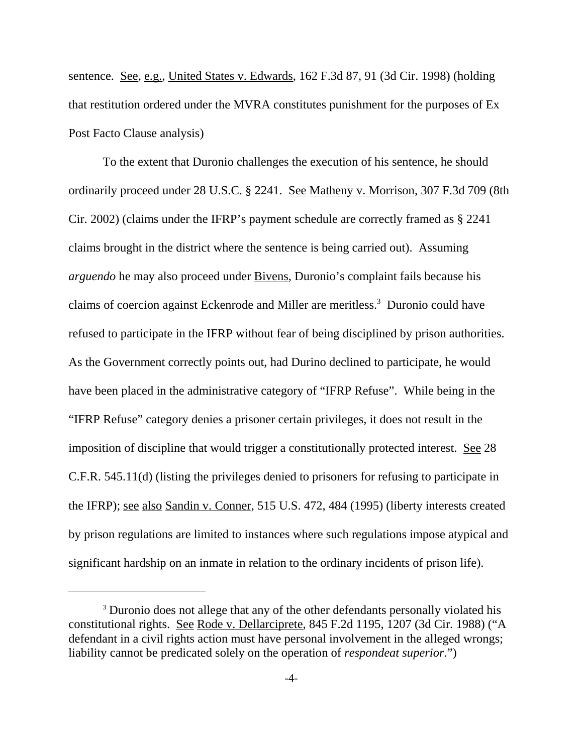sentence. See, e.g., United States v. Edwards, 162 F.3d 87, 91 (3d Cir. 1998) (holding that restitution ordered under the MVRA constitutes punishment for the purposes of Ex Post Facto Clause analysis)

To the extent that Duronio challenges the execution of his sentence, he should ordinarily proceed under 28 U.S.C. § 2241. See Matheny v. Morrison, 307 F.3d 709 (8th Cir. 2002) (claims under the IFRP's payment schedule are correctly framed as § 2241 claims brought in the district where the sentence is being carried out). Assuming *arguendo* he may also proceed under Bivens, Duronio's complaint fails because his claims of coercion against Eckenrode and Miller are meritless.<sup>3</sup> Duronio could have refused to participate in the IFRP without fear of being disciplined by prison authorities. As the Government correctly points out, had Durino declined to participate, he would have been placed in the administrative category of "IFRP Refuse". While being in the "IFRP Refuse" category denies a prisoner certain privileges, it does not result in the imposition of discipline that would trigger a constitutionally protected interest. See 28 C.F.R. 545.11(d) (listing the privileges denied to prisoners for refusing to participate in the IFRP); see also Sandin v. Conner, 515 U.S. 472, 484 (1995) (liberty interests created by prison regulations are limited to instances where such regulations impose atypical and significant hardship on an inmate in relation to the ordinary incidents of prison life).

<sup>&</sup>lt;sup>3</sup> Duronio does not allege that any of the other defendants personally violated his constitutional rights. See Rode v. Dellarciprete, 845 F.2d 1195, 1207 (3d Cir. 1988) ("A defendant in a civil rights action must have personal involvement in the alleged wrongs; liability cannot be predicated solely on the operation of *respondeat superior*.")